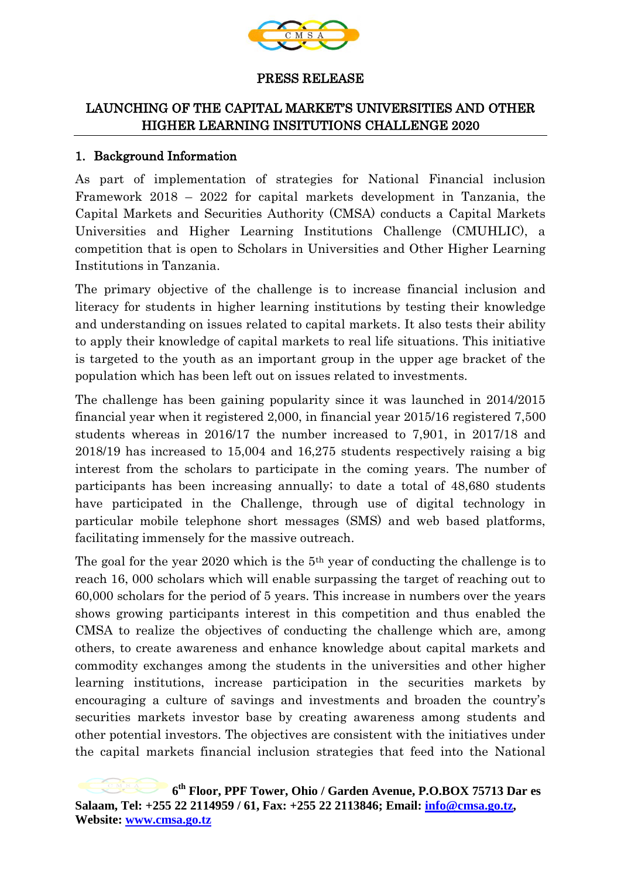

#### PRESS RELEASE

## LAUNCHING OF THE CAPITAL MARKET'S UNIVERSITIES AND OTHER HIGHER LEARNING INSITUTIONS CHALLENGE 2020

### 1. Background Information

As part of implementation of strategies for National Financial inclusion Framework 2018 – 2022 for capital markets development in Tanzania, the Capital Markets and Securities Authority (CMSA) conducts a Capital Markets Universities and Higher Learning Institutions Challenge (CMUHLIC), a competition that is open to Scholars in Universities and Other Higher Learning Institutions in Tanzania.

The primary objective of the challenge is to increase financial inclusion and literacy for students in higher learning institutions by testing their knowledge and understanding on issues related to capital markets. It also tests their ability to apply their knowledge of capital markets to real life situations. This initiative is targeted to the youth as an important group in the upper age bracket of the population which has been left out on issues related to investments.

The challenge has been gaining popularity since it was launched in 2014/2015 financial year when it registered 2,000, in financial year 2015/16 registered 7,500 students whereas in 2016/17 the number increased to 7,901, in 2017/18 and 2018/19 has increased to 15,004 and 16,275 students respectively raising a big interest from the scholars to participate in the coming years. The number of participants has been increasing annually; to date a total of 48,680 students have participated in the Challenge, through use of digital technology in particular mobile telephone short messages (SMS) and web based platforms, facilitating immensely for the massive outreach.

The goal for the year 2020 which is the 5th year of conducting the challenge is to reach 16, 000 scholars which will enable surpassing the target of reaching out to 60,000 scholars for the period of 5 years. This increase in numbers over the years shows growing participants interest in this competition and thus enabled the CMSA to realize the objectives of conducting the challenge which are, among others, to create awareness and enhance knowledge about capital markets and commodity exchanges among the students in the universities and other higher learning institutions, increase participation in the securities markets by encouraging a culture of savings and investments and broaden the country's securities markets investor base by creating awareness among students and other potential investors. The objectives are consistent with the initiatives under the capital markets financial inclusion strategies that feed into the National

**<sup>6</sup> th Floor, PPF Tower, Ohio / Garden Avenue, P.O.BOX 75713 Dar es Salaam, Tel: +255 22 2114959 / 61, Fax: +255 22 2113846; Email: [info@cmsa.go.tz,](mailto:info@cmsa.go.tz) Website: [www.cmsa.go.tz](http://www.cmsa.go.tz/)**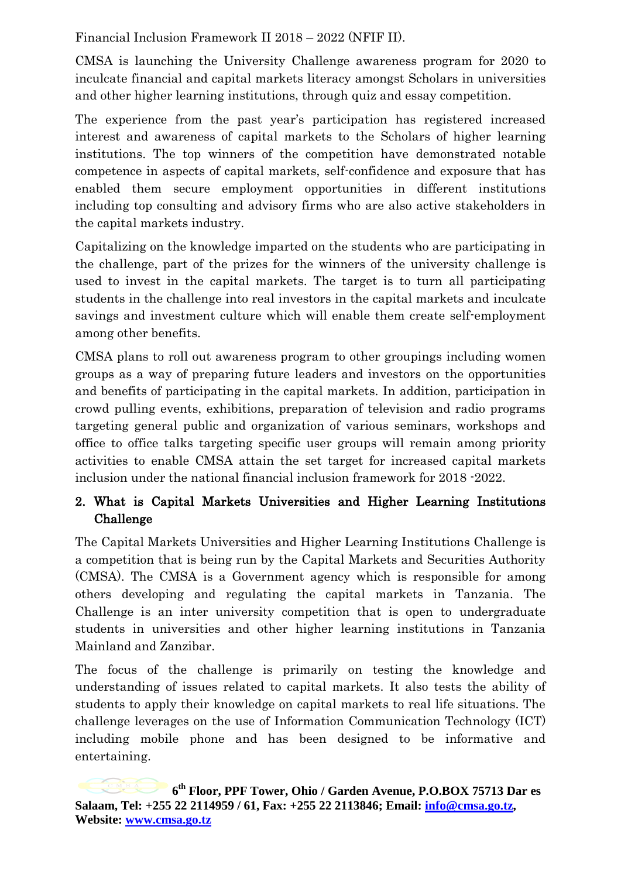Financial Inclusion Framework II 2018 – 2022 (NFIF II).

CMSA is launching the University Challenge awareness program for 2020 to inculcate financial and capital markets literacy amongst Scholars in universities and other higher learning institutions, through quiz and essay competition.

The experience from the past year's participation has registered increased interest and awareness of capital markets to the Scholars of higher learning institutions. The top winners of the competition have demonstrated notable competence in aspects of capital markets, self-confidence and exposure that has enabled them secure employment opportunities in different institutions including top consulting and advisory firms who are also active stakeholders in the capital markets industry.

Capitalizing on the knowledge imparted on the students who are participating in the challenge, part of the prizes for the winners of the university challenge is used to invest in the capital markets. The target is to turn all participating students in the challenge into real investors in the capital markets and inculcate savings and investment culture which will enable them create self-employment among other benefits.

CMSA plans to roll out awareness program to other groupings including women groups as a way of preparing future leaders and investors on the opportunities and benefits of participating in the capital markets. In addition, participation in crowd pulling events, exhibitions, preparation of television and radio programs targeting general public and organization of various seminars, workshops and office to office talks targeting specific user groups will remain among priority activities to enable CMSA attain the set target for increased capital markets inclusion under the national financial inclusion framework for 2018 -2022.

# 2. What is Capital Markets Universities and Higher Learning Institutions Challenge

The Capital Markets Universities and Higher Learning Institutions Challenge is a competition that is being run by the Capital Markets and Securities Authority (CMSA). The CMSA is a Government agency which is responsible for among others developing and regulating the capital markets in Tanzania. The Challenge is an inter university competition that is open to undergraduate students in universities and other higher learning institutions in Tanzania Mainland and Zanzibar.

The focus of the challenge is primarily on testing the knowledge and understanding of issues related to capital markets. It also tests the ability of students to apply their knowledge on capital markets to real life situations. The challenge leverages on the use of Information Communication Technology (ICT) including mobile phone and has been designed to be informative and entertaining.

**<sup>6</sup> th Floor, PPF Tower, Ohio / Garden Avenue, P.O.BOX 75713 Dar es Salaam, Tel: +255 22 2114959 / 61, Fax: +255 22 2113846; Email: [info@cmsa.go.tz,](mailto:info@cmsa.go.tz) Website: [www.cmsa.go.tz](http://www.cmsa.go.tz/)**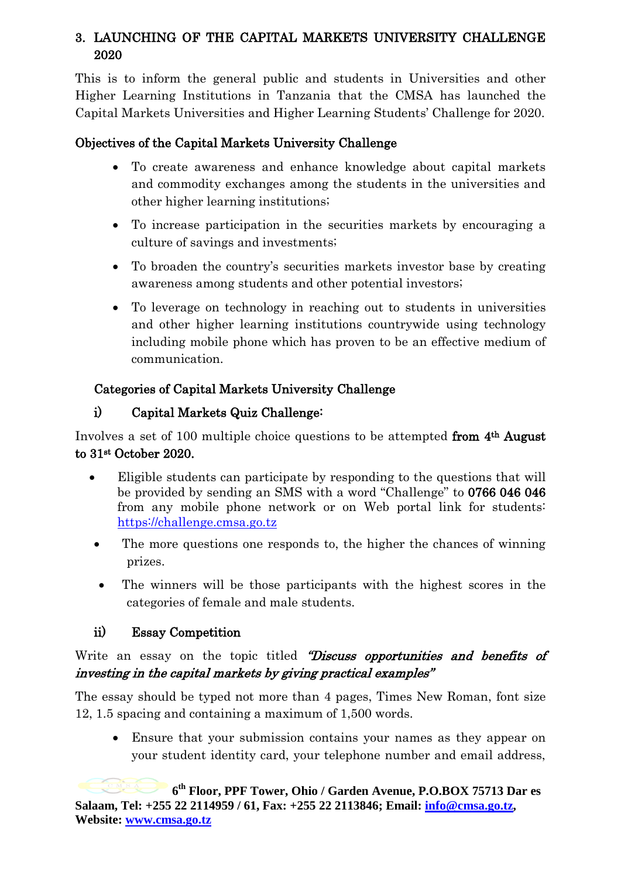# 3. LAUNCHING OF THE CAPITAL MARKETS UNIVERSITY CHALLENGE 2020

This is to inform the general public and students in Universities and other Higher Learning Institutions in Tanzania that the CMSA has launched the Capital Markets Universities and Higher Learning Students' Challenge for 2020.

# Objectives of the Capital Markets University Challenge

- To create awareness and enhance knowledge about capital markets and commodity exchanges among the students in the universities and other higher learning institutions;
- To increase participation in the securities markets by encouraging a culture of savings and investments;
- To broaden the country's securities markets investor base by creating awareness among students and other potential investors;
- To leverage on technology in reaching out to students in universities and other higher learning institutions countrywide using technology including mobile phone which has proven to be an effective medium of communication.

# Categories of Capital Markets University Challenge

# i) Capital Markets Quiz Challenge:

Involves a set of 100 multiple choice questions to be attempted from 4th August to 31st October 2020.

- Eligible students can participate by responding to the questions that will be provided by sending an SMS with a word "Challenge" to 0766 046 046 from any mobile phone network or on Web portal link for students: [https://challenge.cmsa.go.tz](https://challenge.cmsa.go.tz/)
- The more questions one responds to, the higher the chances of winning prizes.
- The winners will be those participants with the highest scores in the categories of female and male students.

# ii) Essay Competition

# Write an essay on the topic titled "Discuss opportunities and benefits of investing in the capital markets by giving practical examples"

The essay should be typed not more than 4 pages, Times New Roman, font size 12, 1.5 spacing and containing a maximum of 1,500 words.

 Ensure that your submission contains your names as they appear on your student identity card, your telephone number and email address,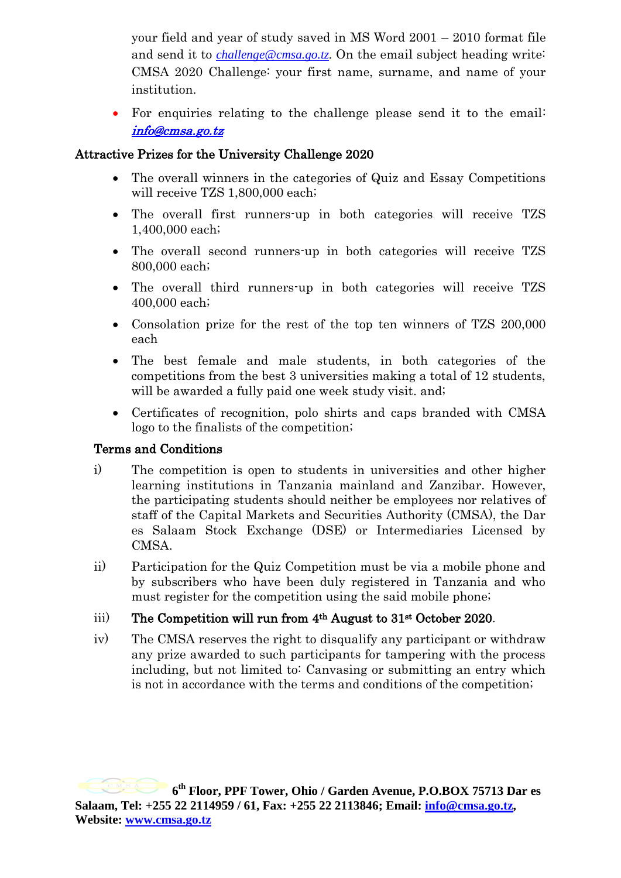your field and year of study saved in MS Word 2001 – 2010 format file and send it to *[challenge@cmsa.go.tz.](mailto:challenge@cmsa.go.tz)* On the email subject heading write: CMSA 2020 Challenge: your first name, surname, and name of your institution.

 For enquiries relating to the challenge please send it to the email: [info@cmsa.go.tz](mailto:info@cmsa.go.tz) 

### Attractive Prizes for the University Challenge 2020

- The overall winners in the categories of Quiz and Essay Competitions will receive TZS 1,800,000 each;
- The overall first runners-up in both categories will receive TZS 1,400,000 each;
- The overall second runners-up in both categories will receive TZS 800,000 each;
- The overall third runners-up in both categories will receive TZS 400,000 each;
- Consolation prize for the rest of the top ten winners of TZS 200,000 each
- The best female and male students, in both categories of the competitions from the best 3 universities making a total of 12 students, will be awarded a fully paid one week study visit. and;
- Certificates of recognition, polo shirts and caps branded with CMSA logo to the finalists of the competition;

### Terms and Conditions

- i) The competition is open to students in universities and other higher learning institutions in Tanzania mainland and Zanzibar. However, the participating students should neither be employees nor relatives of staff of the Capital Markets and Securities Authority (CMSA), the Dar es Salaam Stock Exchange (DSE) or Intermediaries Licensed by CMSA.
- ii) Participation for the Quiz Competition must be via a mobile phone and by subscribers who have been duly registered in Tanzania and who must register for the competition using the said mobile phone;
- iii) The Competition will run from  $4<sup>th</sup>$  August to  $31<sup>st</sup>$  October 2020.
- iv) The CMSA reserves the right to disqualify any participant or withdraw any prize awarded to such participants for tampering with the process including, but not limited to: Canvasing or submitting an entry which is not in accordance with the terms and conditions of the competition;